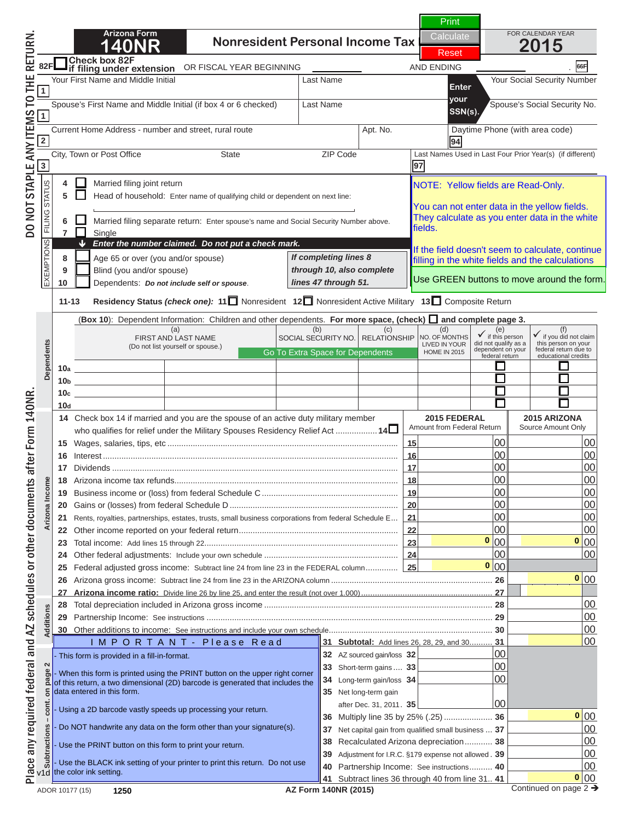# **1400 N O T I C E**

Spouse's First Name and Middle Initial (if box 4 or 6 checked) Last Name Spouse's Social Security No. Current Home Address - number and street, rural route Apt. No. Daytime Phone (with area code) **2 94 your If you are viewing this message,**  this is NOT a complete return.

**4 Married filing filing**  $\mathbf{a}$ **58** Head of the completed by **To print a completed return:**  $\blacksquare$ 

**8** Age 65 or over (you and/or spouse) **Particular E**i **10** Dependents: *Do not include self or spouse*. **10 print a completed return:<br>All required fields must be filled in<br>Fields are indicated by a "Return Fields"<br>Active d. Acta field) 7** Single (**Box 10**): Dependent Information: Children and other dependents. **For more space, (check) and complete page 3.** All required fields must be filled in. *through 10, also complete lines 47 through 51.* filling in the white fields and the calculations (Required Fields are indicated by a "Red Box" **around the data field).** 

lick on the Green PRINT Button located at the **10bbs 20bbs 20bbs 20bbs 20bbs 20bbs 20bbs 20bbs 20bbs 20bbs 20bbs 20bbs 20bbs 20bbs 20bbs 20bbs 20bbs 20bbs 20 10c 10c 10c 10c 10c 10c 10c 10c 10c 10c 10c 10c 10c 10c 10c 10c 10c 10c 10c 10c 10c 10c 10c 10c 10c 10c 10c 10c 10c 10c 10c 10c 10c 10c 10c 10c 10c 10d top of page 1. Dependents Click on the Green PRINT Button located at the** 

 $TT:$  Clieling the DDINT butter will next expecte **NOTE: Clicking the PRINT button will perform the 17** Dividends ............................................................................................................................ **17** 00 00 **18** Arizona income tax refunds................................................................................................. **18** 00 00 **calculations and 19 Business income of the federal Schedule C .................................. 20** Gains or (losses) from federal Schedule D ......................................................................... **20** 00 00 **211 Rents, estate the barcode. 211** Place any required federal and AZ schedules or other documents after Form 140NR. DO NOT STAPLE ANY ITEMS TO THE RETURN.

**24** Other federal adjustments: Include your own schedule .......................................................... **24** 00 00 **25 FEDERAL ADJUSTED GROSS IN O T I C E 26** Arizona gross income: Subtract line 24 from line 23 in the ARIZONA column ...................................................................... **26** 00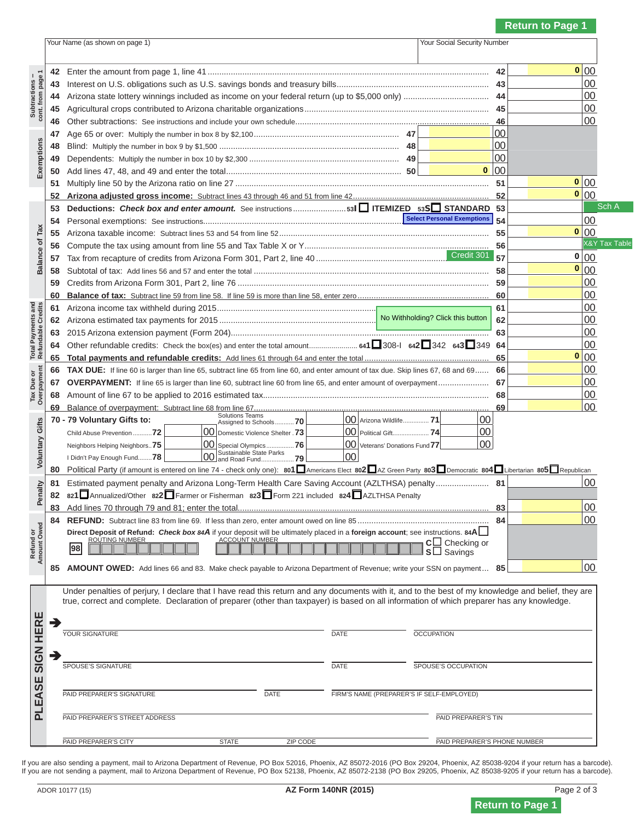### Your Name (as shown on page 1) Your Social Security Number **N O T I C E**

**14** Arizonal state included as income on  $\mathbf{F}$  and  $\mathbf{F}$  are  $\mathbf{F}$  . Then  $\mathbf{F}$  is to  $\mathbf{F}$ If you are viewing this message,  $\mathbf{A}$   $\mathbf{b}$   $\mathbf{a}$   $\mathbf{a}$   $\mathbf{A}$   $\mathbf{A}$   $\mathbf{A}$   $\mathbf{A}$   $\mathbf{A}$   $\mathbf{A}$   $\mathbf{A}$   $\mathbf{A}$   $\mathbf{A}$   $\mathbf{A}$   $\mathbf{A}$   $\mathbf{A}$   $\mathbf{A}$   $\mathbf{A}$   $\mathbf{A}$   $\mathbf{A}$   $\mathbf{A}$   $\mathbf{A}$   $\mathbf{A}$   $\mathbf{A}$   $\mathbf{$ **this is NOT a complete return. 48** Blind: Multiply the number in box 9 by \$1,500 .............................................................................. **48** 00

 $\mathsf{T}_{\mathsf{A}}$  print a completed return: **To print a completed return: To print a completed return: 53 Deductions:** *Check box and enter amount.* See instructions ....................... **<sup>53</sup><sup>I</sup> ITEMIZED 53<sup>S</sup> STANDARD 53** 00

 **55** Arizona taxable income: Subtract lines 53 and 54 from line 52 ........................................................................................... **55** 00

**Refundable Credits 56** Compute the tax using amount from line 55 and Tax Table X or Y ................................................................................ **56** 00 All required fields must be filled in.  $\overline{D}$  Culture 56 and the total indicated by a "Ded Dev"  **59** Credits from Arizona Form 301, Part 2, line 76 ............................................................................................................. **59** 00 **10 From line 59 is more than line 58. If line 58. If line 59. If line 58. If line 58. If line 58. If line 58. 61** Arizona income tax withheld during 2015 ...................................................................................................................... **61** 00 around the data field). **0 (Required Fields are indicated by a "Red Box"** 

 **Overpayment 65 Total payments and refundable credits:** Add lines 61 through 64 and enter the total ...................................................... **65** 00  **66 TAX DUE:** If line 60 is larger than line 65, subtract line 65 from line 60, and enter amount of tax due. Skip lines 67, 68 and 69 ...... **66** 00  **67 OVERPAYMENT:** If line 65 is larger than line 60, subtract line 60 from line 65, and enter amount of overpayment ...................... **67** 00 **18 Amount of line 67 to 2016 estimated to 2016 estimated the 2016 estimated to 2016 estimated the 2016 estimated t top of page 1. top of page 1. 0 Click on the Green PRINT Button located at the** 

 **Amount Owed Voluntary Gifts** Neighbors Helping Neighbors..**75** 00 Special Olympics ................**76** 00 Veterans' Donations Fund **77** 00 I E: Clicking the PRINT bl NOTE: Clicking the PRINT button will perform the  **81** Estimated payment penalty and Arizona Long-Term Health Care Saving Account (AZLTHSA) penalty ....................... **81** 00 **822**Farmer or Figure 221 included 822 **calculations and 83** Bandaria 1 the total and 81; enter the total state the total state the total state the total state of the total state of the total state of the total state of the total state of the total state of the total state of t **update the barcode. and 25 sero, enter all 25 sero, enter and 25 sero, enter and 25 sero, enter and 25 sero, enter and 25 sero, enter and 25 sero, enter a 25 sero, enter a 25 sero, enter a 25 sero, enter a 25 sero, ente Direct Deposit of Refund:** *Check box 84A* if your deposit will be ultimately placed in a **foreign account**; see instructions. **84A**

**ASSESSMENT OF REVENUE; WE ARE CHECK PAYABLE TO A RIZONA DEPARTMENT OF REVENUE; WE ARE CHECK PAYABLE TO ARIZON DEPARTMENT OF REVENUE; WE ARE CHECK PAYABLE TO ARIZON DEPARTMENT ...**  $\mathbf{R} = \mathbf{R} \mathbf{S} \mathbf{S}$ 



Sch A

<sup>-</sup>able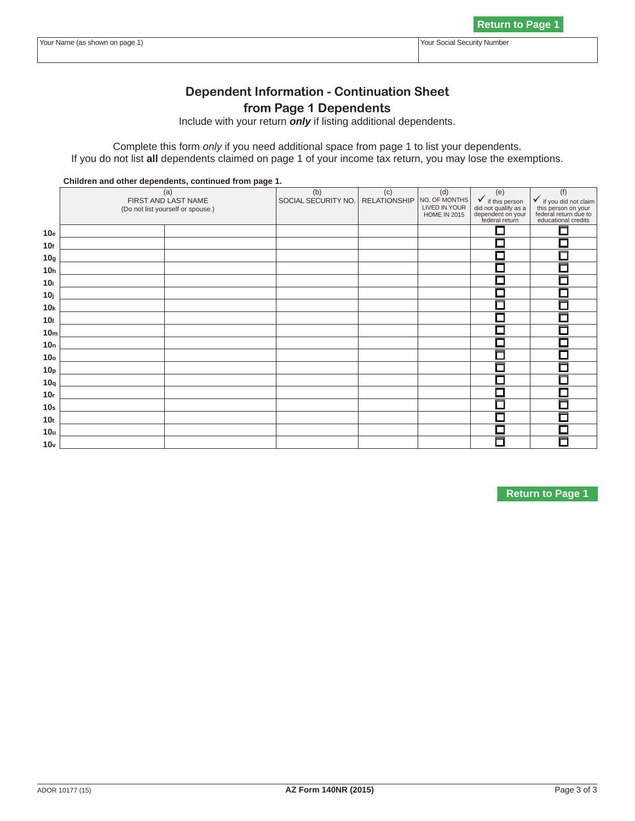# **NOTICE**

**Return to Page 1**

**Dependent Information - Continuation Sheet If you are viewing this message,** Include with your return *only* if listing additional dependents. this is NOT a complete return.

 **Children and other dependents, continued from page 1.**  (a) FIRST AND LAST NAME (Do not list yourself or spouse.) (b) JULIUS. (c) RATI I **To print a completed return:** 

 $\overline{10}$   $\overline{10}$   $\overline{10}$   $\overline{20}$   $\overline{10}$   $\overline{20}$   $\overline{10}$   $\overline{20}$   $\overline{10}$   $\overline{20}$   $\overline{10}$   $\overline{20}$   $\overline{10}$   $\overline{20}$   $\overline{10}$   $\overline{20}$   $\overline{10}$   $\overline{20}$   $\overline{10}$   $\overline{20}$   $\overline{10}$   $\overline{20}$  **10g All required fields must be filled in. 10h Required Fields are indicated by a "Red Boy" 10j (Required Fields are indicated by a "Red Box" 10kbarry 10kbarry 10kbarry 10kbarry 10kbarry 10kbarry 10kbarry 10kbarry 10kbarry 10kbarry 10kbarry 10kbarry 10 100 around the data field). 10. 10. 10. 10. 10. 10. 10. 10. 10. 10. 10. 10. 10. 10. 10. 10. 10. 10. 10. 10. 10. 10. 10. 10. 11. 11. 11. 11. 11. 11. 11. 11. 10mm and 10mm and 10mm and 10mm and 10mm and 10mm and 10mm and 10mm and 10mm and 10mm and 10mm and 10mm and** 

10oo - 10oo - 10oo - 10oo - 10oo - 10oo - 10oo - 10oo - 10oo - 10oo - 10oo - 10oo - 10oo - 10oo - 10oo - 10oo<br>10oo - 11oo - 11oo - 11oo - 11oo - 11oo - 11oo - 11oo - 11oo - 11oo - 11oo - 11oo - 11oo - 11oo - 11oo - 11oo Click on the Green PRINT Rutton located at tl **Click on the Green PRINT Button located at the 10r 10s 10s 10s 10s 10s 10s 10s 10s 10s 10s 10s 10s 10s 10s 10s 10s 10s 10s 10s 10s 10s 10s 10s 10s 10s 10s 10s 10s 10s 10s 10s 10s 10s 10s 10s 10s 10s 10t**

**NOTE: Clicking the PRINT button will perform the calculations and update the barcode.** 

**N O T I C E**